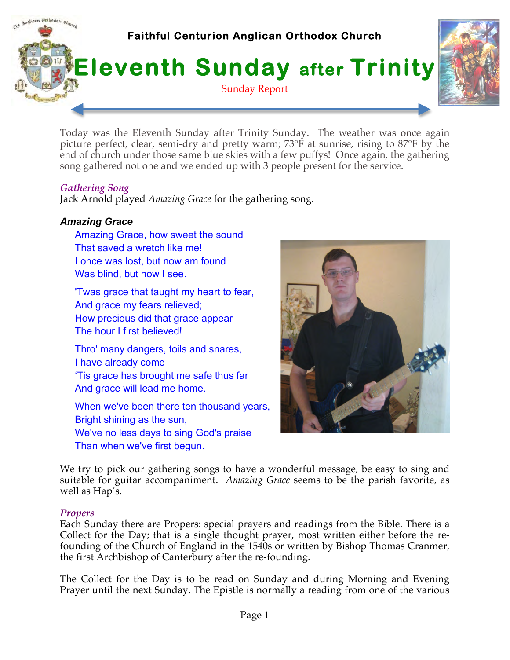

Today was the Eleventh Sunday after Trinity Sunday. The weather was once again picture perfect, clear, semi-dry and pretty warm; 73°F at sunrise, rising to 87°F by the end of church under those same blue skies with a few puffys! Once again, the gathering song gathered not one and we ended up with 3 people present for the service.

## *Gathering Song*

Jack Arnold played *Amazing Grace* for the gathering song.

# *Amazing Grace*

Amazing Grace, how sweet the sound That saved a wretch like me! I once was lost, but now am found Was blind, but now I see.

'Twas grace that taught my heart to fear, And grace my fears relieved; How precious did that grace appear The hour I first believed!

Thro' many dangers, toils and snares, I have already come 'Tis grace has brought me safe thus far And grace will lead me home.

When we've been there ten thousand years, Bright shining as the sun, We've no less days to sing God's praise Than when we've first begun.



We try to pick our gathering songs to have a wonderful message, be easy to sing and suitable for guitar accompaniment. *Amazing Grace* seems to be the parish favorite, as well as Hap's.

### *Propers*

Each Sunday there are Propers: special prayers and readings from the Bible. There is a Collect for the Day; that is a single thought prayer, most written either before the refounding of the Church of England in the 1540s or written by Bishop Thomas Cranmer, the first Archbishop of Canterbury after the re-founding.

The Collect for the Day is to be read on Sunday and during Morning and Evening Prayer until the next Sunday. The Epistle is normally a reading from one of the various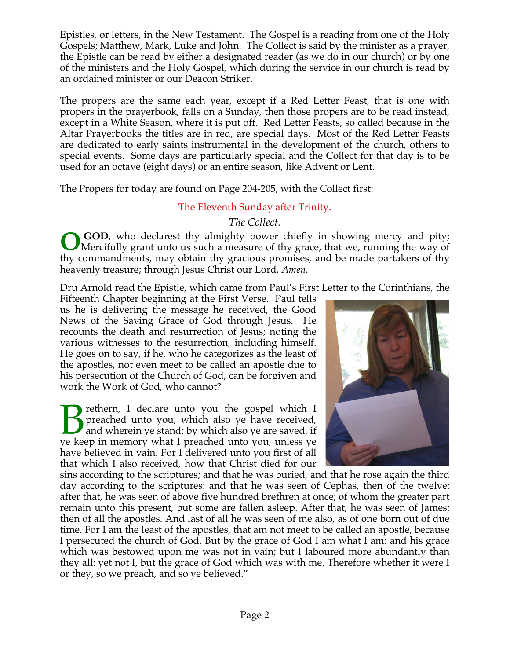Epistles, or letters, in the New Testament. The Gospel is a reading from one of the Holy Gospels; Matthew, Mark, Luke and John. The Collect is said by the minister as a prayer, the Epistle can be read by either a designated reader (as we do in our church) or by one of the ministers and the Holy Gospel, which during the service in our church is read by an ordained minister or our Deacon Striker.

The propers are the same each year, except if a Red Letter Feast, that is one with propers in the prayerbook, falls on a Sunday, then those propers are to be read instead, except in a White Season, where it is put off. Red Letter Feasts, so called because in the Altar Prayerbooks the titles are in red, are special days. Most of the Red Letter Feasts are dedicated to early saints instrumental in the development of the church, others to special events. Some days are particularly special and the Collect for that day is to be used for an octave (eight days) or an entire season, like Advent or Lent.

The Propers for today are found on Page 204-205, with the Collect first:

# The Eleventh Sunday after Trinity.

*The Collect.*

 **GOD**, who declarest thy almighty power chiefly in showing mercy and pity; Mercifully grant unto us such a measure of thy grace, that we, running the way of thy commandments, may obtain thy gracious promises, and be made partakers of thy heavenly treasure; through Jesus Christ our Lord. *Amen.* **O**

Dru Arnold read the Epistle, which came from Paul's First Letter to the Corinthians, the

Fifteenth Chapter beginning at the First Verse. Paul tells us he is delivering the message he received, the Good News of the Saving Grace of God through Jesus. He recounts the death and resurrection of Jesus; noting the various witnesses to the resurrection, including himself. He goes on to say, if he, who he categorizes as the least of the apostles, not even meet to be called an apostle due to his persecution of the Church of God, can be forgiven and work the Work of God, who cannot?

rethern, I declare unto you the gospel which I preached unto you, which also ye have received, and wherein ye stand; by which also ye are saved, if **P** rethern, I declare unto you the gospel which I preached unto you, which also ye have received, if ye keep in memory what I preached unto you, unless ye have believed in vain. For I delivered unto you first of all that which I also received, how that Christ died for our



sins according to the scriptures; and that he was buried, and that he rose again the third day according to the scriptures: and that he was seen of Cephas, then of the twelve: after that, he was seen of above five hundred brethren at once; of whom the greater part remain unto this present, but some are fallen asleep. After that, he was seen of James; then of all the apostles. And last of all he was seen of me also, as of one born out of due time. For I am the least of the apostles, that am not meet to be called an apostle, because I persecuted the church of God. But by the grace of God I am what I am: and his grace which was bestowed upon me was not in vain; but I laboured more abundantly than they all: yet not I, but the grace of God which was with me. Therefore whether it were I or they, so we preach, and so ye believed."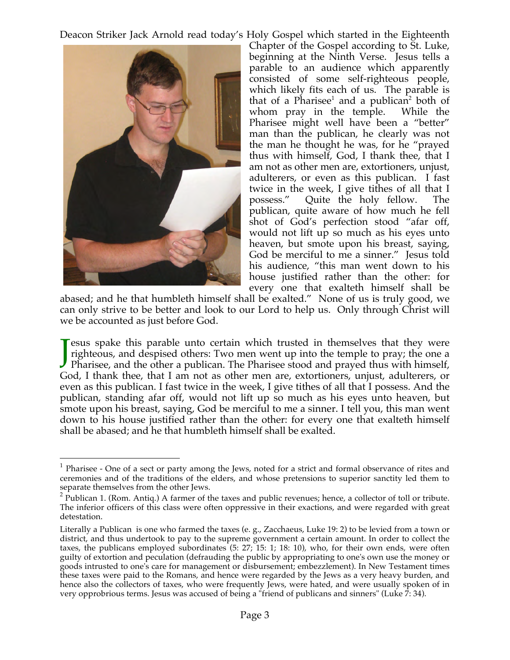Deacon Striker Jack Arnold read today's Holy Gospel which started in the Eighteenth



Chapter of the Gospel according to St. Luke, beginning at the Ninth Verse. Jesus tells a parable to an audience which apparently consisted of some self-righteous people, which likely fits each of us. The parable is that of a Pharisee<sup>1</sup> and a publican<sup>2</sup> both of whom pray in the temple. While the Pharisee might well have been a "better" man than the publican, he clearly was not the man he thought he was, for he "prayed thus with himself, God, I thank thee, that I am not as other men are, extortioners, unjust, adulterers, or even as this publican. I fast twice in the week, I give tithes of all that I possess." Quite the holy fellow. The publican, quite aware of how much he fell shot of God's perfection stood "afar off, would not lift up so much as his eyes unto heaven, but smote upon his breast, saying, God be merciful to me a sinner." Jesus told his audience, "this man went down to his house justified rather than the other: for every one that exalteth himself shall be

abased; and he that humbleth himself shall be exalted." None of us is truly good, we can only strive to be better and look to our Lord to help us. Only through Christ will we be accounted as just before God.

esus spake this parable unto certain which trusted in themselves that they were righteous, and despised others: Two men went up into the temple to pray; the one a **J** esus spake this parable unto certain which trusted in themselves that they were righteous, and despised others: Two men went up into the temple to pray; the one a Pharisee, and the other a publican. The Pharisee stood God, I thank thee, that I am not as other men are, extortioners, unjust, adulterers, or even as this publican. I fast twice in the week, I give tithes of all that I possess. And the publican, standing afar off, would not lift up so much as his eyes unto heaven, but smote upon his breast, saying, God be merciful to me a sinner. I tell you, this man went down to his house justified rather than the other: for every one that exalteth himself shall be abased; and he that humbleth himself shall be exalted.

 $1$  Pharisee - One of a sect or party among the Jews, noted for a strict and formal observance of rites and ceremonies and of the traditions of the elders, and whose pretensions to superior sanctity led them to separate themselves from the other Jews.

 $2^{2}$  Publican 1. (Rom. Antiq.) A farmer of the taxes and public revenues; hence, a collector of toll or tribute. The inferior officers of this class were often oppressive in their exactions, and were regarded with great detestation.

Literally a Publican is one who farmed the taxes (e. g., Zacchaeus, Luke 19: 2) to be levied from a town or district, and thus undertook to pay to the supreme government a certain amount. In order to collect the taxes, the publicans employed subordinates (5: 27; 15: 1; 18: 10), who, for their own ends, were often guilty of extortion and peculation (defrauding the public by appropriating to one's own use the money or goods intrusted to one's care for management or disbursement; embezzlement). In New Testament times these taxes were paid to the Romans, and hence were regarded by the Jews as a very heavy burden, and hence also the collectors of taxes, who were frequently Jews, were hated, and were usually spoken of in very opprobrious terms. Jesus was accused of being a "friend of publicans and sinners" (Luke  $\dot{7}$ : 34).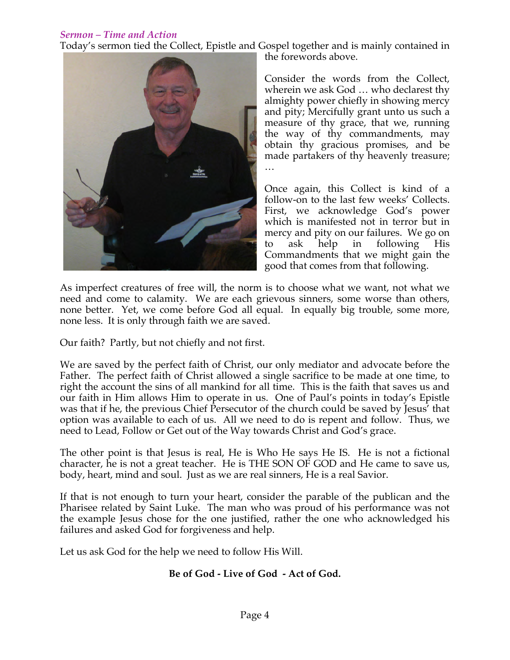# *Sermon – Time and Action*

Today's sermon tied the Collect, Epistle and Gospel together and is mainly contained in



the forewords above.

Consider the words from the Collect, wherein we ask God … who declarest thy almighty power chiefly in showing mercy and pity; Mercifully grant unto us such a measure of thy grace, that we, running the way of thy commandments, may obtain thy gracious promises, and be made partakers of thy heavenly treasure; …

Once again, this Collect is kind of a follow-on to the last few weeks' Collects. First, we acknowledge God's power which is manifested not in terror but in mercy and pity on our failures. We go on to ask help in following His Commandments that we might gain the good that comes from that following.

As imperfect creatures of free will, the norm is to choose what we want, not what we need and come to calamity. We are each grievous sinners, some worse than others, none better. Yet, we come before God all equal. In equally big trouble, some more, none less. It is only through faith we are saved.

Our faith? Partly, but not chiefly and not first.

We are saved by the perfect faith of Christ, our only mediator and advocate before the Father. The perfect faith of Christ allowed a single sacrifice to be made at one time, to right the account the sins of all mankind for all time. This is the faith that saves us and our faith in Him allows Him to operate in us. One of Paul's points in today's Epistle was that if he, the previous Chief Persecutor of the church could be saved by Jesus' that option was available to each of us. All we need to do is repent and follow. Thus, we need to Lead, Follow or Get out of the Way towards Christ and God's grace.

The other point is that Jesus is real, He is Who He says He IS. He is not a fictional character, he is not a great teacher. He is THE SON OF GOD and He came to save us, body, heart, mind and soul. Just as we are real sinners, He is a real Savior.

If that is not enough to turn your heart, consider the parable of the publican and the Pharisee related by Saint Luke. The man who was proud of his performance was not the example Jesus chose for the one justified, rather the one who acknowledged his failures and asked God for forgiveness and help.

Let us ask God for the help we need to follow His Will.

# **Be of God - Live of God - Act of God.**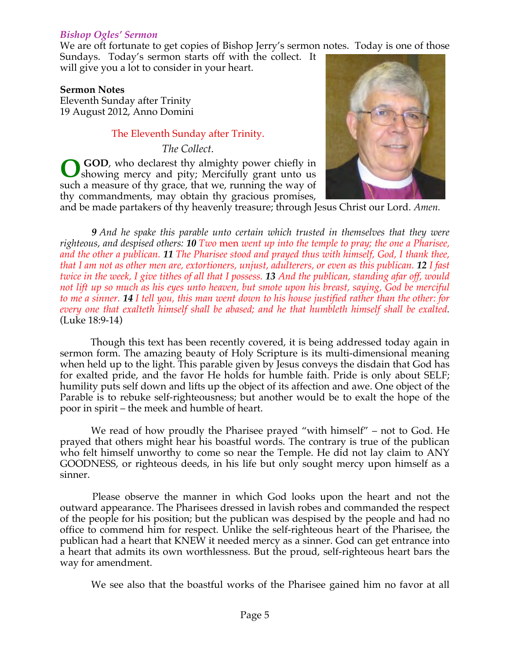#### *Bishop Ogles' Sermon*

We are oft fortunate to get copies of Bishop Jerry's sermon notes. Today is one of those

Sundays. Today's sermon starts off with the collect. It will give you a lot to consider in your heart.

#### **Sermon Notes**

Eleventh Sunday after Trinity 19 August 2012, Anno Domini

### The Eleventh Sunday after Trinity.

*The Collect.*

 **GOD**, who declarest thy almighty power chiefly in showing mercy and pity; Mercifully grant unto us such a measure of thy grace, that we, running the way of thy commandments, may obtain thy gracious promises, **O**



and be made partakers of thy heavenly treasure; through Jesus Christ our Lord. *Amen.*

 *9 And he spake this parable unto certain which trusted in themselves that they were righteous, and despised others: 10 Two* men *went up into the temple to pray; the one a Pharisee, and the other a publican. 11 The Pharisee stood and prayed thus with himself, God, I thank thee, that I am not as other men are, extortioners, unjust, adulterers, or even as this publican. 12 I fast twice in the week, I give tithes of all that I possess. 13 And the publican, standing afar off, would not lift up so much as his eyes unto heaven, but smote upon his breast, saying, God be merciful to me a sinner. 14 I tell you, this man went down to his house justified rather than the other: for every one that exalteth himself shall be abased; and he that humbleth himself shall be exalted.*  (Luke 18:9-14)

 Though this text has been recently covered, it is being addressed today again in sermon form. The amazing beauty of Holy Scripture is its multi-dimensional meaning when held up to the light. This parable given by Jesus conveys the disdain that God has for exalted pride, and the favor He holds for humble faith. Pride is only about SELF; humility puts self down and lifts up the object of its affection and awe. One object of the Parable is to rebuke self-righteousness; but another would be to exalt the hope of the poor in spirit – the meek and humble of heart.

 We read of how proudly the Pharisee prayed "with himself" – not to God. He prayed that others might hear his boastful words. The contrary is true of the publican who felt himself unworthy to come so near the Temple. He did not lay claim to ANY GOODNESS, or righteous deeds, in his life but only sought mercy upon himself as a sinner.

 Please observe the manner in which God looks upon the heart and not the outward appearance. The Pharisees dressed in lavish robes and commanded the respect of the people for his position; but the publican was despised by the people and had no office to commend him for respect. Unlike the self-righteous heart of the Pharisee, the publican had a heart that KNEW it needed mercy as a sinner. God can get entrance into a heart that admits its own worthlessness. But the proud, self-righteous heart bars the way for amendment.

We see also that the boastful works of the Pharisee gained him no favor at all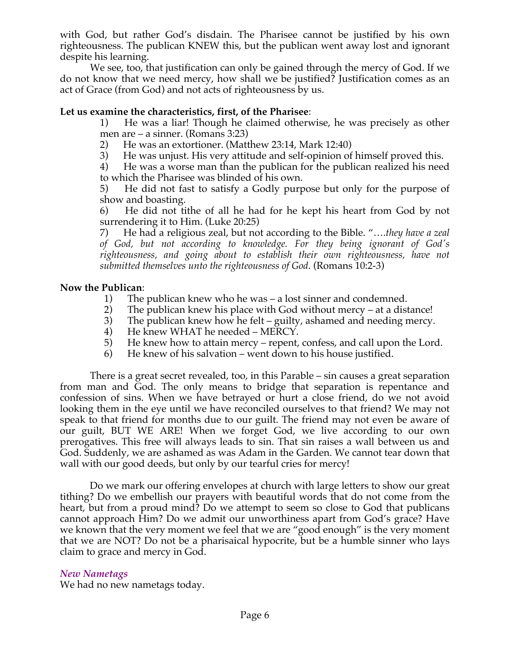with God, but rather God's disdain. The Pharisee cannot be justified by his own righteousness. The publican KNEW this, but the publican went away lost and ignorant despite his learning.

 We see, too, that justification can only be gained through the mercy of God. If we do not know that we need mercy, how shall we be justified? Justification comes as an act of Grace (from God) and not acts of righteousness by us.

#### **Let us examine the characteristics, first, of the Pharisee**:

1) He was a liar! Though he claimed otherwise, he was precisely as other men are – a sinner. (Romans 3:23)

- 2) He was an extortioner. (Matthew 23:14, Mark 12:40)
- 3) He was unjust. His very attitude and self-opinion of himself proved this.

4) He was a worse man than the publican for the publican realized his need to which the Pharisee was blinded of his own.

5) He did not fast to satisfy a Godly purpose but only for the purpose of show and boasting.

6) He did not tithe of all he had for he kept his heart from God by not surrendering it to Him. (Luke 20:25)

7) He had a religious zeal, but not according to the Bible. "….*they have a zeal of God, but not according to knowledge. For they being ignorant of God's righteousness, and going about to establish their own righteousness, have not submitted themselves unto the righteousness of God*. (Romans 10:2-3)

#### **Now the Publican**:

- 1) The publican knew who he was a lost sinner and condemned.
- 2) The publican knew his place with God without mercy at a distance!<br>3) The publican knew how he felt guilty, ashamed and needing mercy.
- The publican knew how he felt guilty, ashamed and needing mercy.
- 4) He knew WHAT he needed MERCY.
- 5) He knew how to attain mercy repent, confess, and call upon the Lord.
- 6) He knew of his salvation went down to his house justified.

 There is a great secret revealed, too, in this Parable – sin causes a great separation from man and God. The only means to bridge that separation is repentance and confession of sins. When we have betrayed or hurt a close friend, do we not avoid looking them in the eye until we have reconciled ourselves to that friend? We may not speak to that friend for months due to our guilt. The friend may not even be aware of our guilt, BUT WE ARE! When we forget God, we live according to our own prerogatives. This free will always leads to sin. That sin raises a wall between us and God. Suddenly, we are ashamed as was Adam in the Garden. We cannot tear down that wall with our good deeds, but only by our tearful cries for mercy!

 Do we mark our offering envelopes at church with large letters to show our great tithing? Do we embellish our prayers with beautiful words that do not come from the heart, but from a proud mind? Do we attempt to seem so close to God that publicans cannot approach Him? Do we admit our unworthiness apart from God's grace? Have we known that the very moment we feel that we are "good enough" is the very moment that we are NOT? Do not be a pharisaical hypocrite, but be a humble sinner who lays claim to grace and mercy in God.

#### *New Nametags*

We had no new nametags today.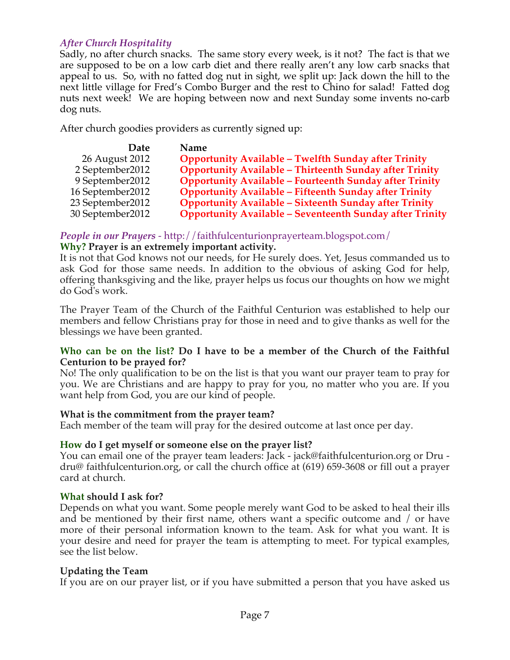## *After Church Hospitality*

Sadly, no after church snacks. The same story every week, is it not? The fact is that we are supposed to be on a low carb diet and there really aren't any low carb snacks that appeal to us. So, with no fatted dog nut in sight, we split up: Jack down the hill to the next little village for Fred's Combo Burger and the rest to Chino for salad! Fatted dog nuts next week! We are hoping between now and next Sunday some invents no-carb dog nuts.

After church goodies providers as currently signed up:

| Date              | Name                                                            |
|-------------------|-----------------------------------------------------------------|
| 26 August 2012    | <b>Opportunity Available - Twelfth Sunday after Trinity</b>     |
| 2 September 2012  | <b>Opportunity Available - Thirteenth Sunday after Trinity</b>  |
| 9 September 2012  | <b>Opportunity Available - Fourteenth Sunday after Trinity</b>  |
| 16 September 2012 | <b>Opportunity Available - Fifteenth Sunday after Trinity</b>   |
| 23 September 2012 | <b>Opportunity Available - Sixteenth Sunday after Trinity</b>   |
| 30 September 2012 | <b>Opportunity Available - Seventeenth Sunday after Trinity</b> |

## *People in our Prayers* - http://faithfulcenturionprayerteam.blogspot.com/

#### **Why? Prayer is an extremely important activity.**

It is not that God knows not our needs, for He surely does. Yet, Jesus commanded us to ask God for those same needs. In addition to the obvious of asking God for help, offering thanksgiving and the like, prayer helps us focus our thoughts on how we might do God's work.

The Prayer Team of the Church of the Faithful Centurion was established to help our members and fellow Christians pray for those in need and to give thanks as well for the blessings we have been granted.

### **Who can be on the list? Do I have to be a member of the Church of the Faithful Centurion to be prayed for?**

No! The only qualification to be on the list is that you want our prayer team to pray for you. We are Christians and are happy to pray for you, no matter who you are. If you want help from God, you are our kind of people.

### **What is the commitment from the prayer team?**

Each member of the team will pray for the desired outcome at last once per day.

### **How do I get myself or someone else on the prayer list?**

You can email one of the prayer team leaders: Jack - jack@faithfulcenturion.org or Dru dru@ faithfulcenturion.org, or call the church office at (619) 659-3608 or fill out a prayer card at church.

#### **What should I ask for?**

Depends on what you want. Some people merely want God to be asked to heal their ills and be mentioned by their first name, others want a specific outcome and / or have more of their personal information known to the team. Ask for what you want. It is your desire and need for prayer the team is attempting to meet. For typical examples, see the list below.

### **Updating the Team**

If you are on our prayer list, or if you have submitted a person that you have asked us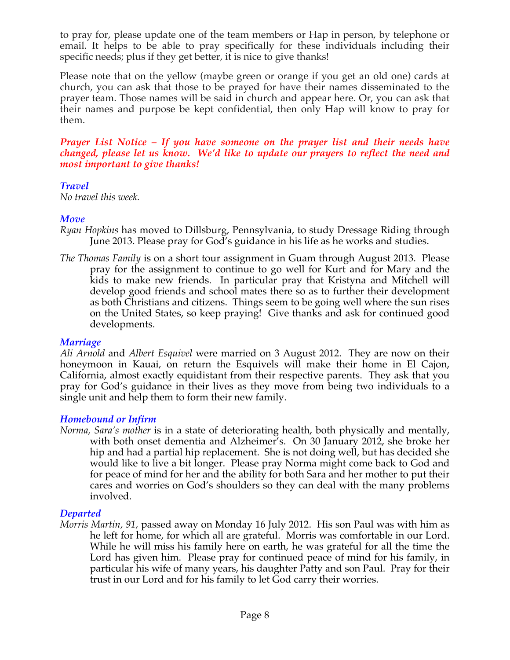to pray for, please update one of the team members or Hap in person, by telephone or email. It helps to be able to pray specifically for these individuals including their specific needs; plus if they get better, it is nice to give thanks!

Please note that on the yellow (maybe green or orange if you get an old one) cards at church, you can ask that those to be prayed for have their names disseminated to the prayer team. Those names will be said in church and appear here. Or, you can ask that their names and purpose be kept confidential, then only Hap will know to pray for them.

*Prayer List Notice – If you have someone on the prayer list and their needs have changed, please let us know. We'd like to update our prayers to reflect the need and most important to give thanks!*

### *Travel*

*No travel this week.*

## *Move*

- *Ryan Hopkins* has moved to Dillsburg, Pennsylvania, to study Dressage Riding through June 2013. Please pray for God's guidance in his life as he works and studies.
- *The Thomas Family* is on a short tour assignment in Guam through August 2013. Please pray for the assignment to continue to go well for Kurt and for Mary and the kids to make new friends. In particular pray that Kristyna and Mitchell will develop good friends and school mates there so as to further their development as both Christians and citizens. Things seem to be going well where the sun rises on the United States, so keep praying! Give thanks and ask for continued good developments.

### *Marriage*

*Ali Arnold* and *Albert Esquivel* were married on 3 August 2012. They are now on their honeymoon in Kauai, on return the Esquivels will make their home in El Cajon, California, almost exactly equidistant from their respective parents. They ask that you pray for God's guidance in their lives as they move from being two individuals to a single unit and help them to form their new family.

# *Homebound or Infirm*

*Norma, Sara's mother* is in a state of deteriorating health, both physically and mentally, with both onset dementia and Alzheimer's. On 30 January 2012, she broke her hip and had a partial hip replacement. She is not doing well, but has decided she would like to live a bit longer. Please pray Norma might come back to God and for peace of mind for her and the ability for both Sara and her mother to put their cares and worries on God's shoulders so they can deal with the many problems involved.

# *Departed*

*Morris Martin, 91,* passed away on Monday 16 July 2012. His son Paul was with him as he left for home, for which all are grateful. Morris was comfortable in our Lord. While he will miss his family here on earth, he was grateful for all the time the Lord has given him. Please pray for continued peace of mind for his family, in particular his wife of many years, his daughter Patty and son Paul. Pray for their trust in our Lord and for his family to let God carry their worries.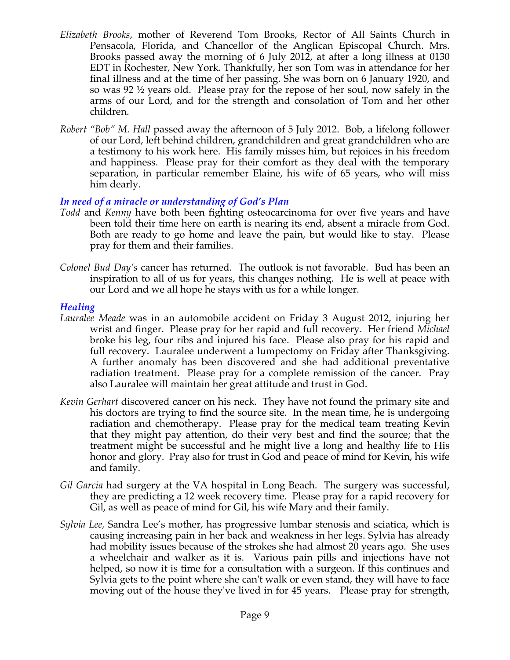- *Elizabeth Brooks*, mother of Reverend Tom Brooks, Rector of All Saints Church in Pensacola, Florida, and Chancellor of the Anglican Episcopal Church. Mrs. Brooks passed away the morning of 6 July 2012, at after a long illness at 0130 EDT in Rochester, New York. Thankfully, her son Tom was in attendance for her final illness and at the time of her passing. She was born on 6 January 1920, and so was 92 ½ years old. Please pray for the repose of her soul, now safely in the arms of our Lord, and for the strength and consolation of Tom and her other children.
- *Robert "Bob" M. Hall* passed away the afternoon of 5 July 2012. Bob, a lifelong follower of our Lord, left behind children, grandchildren and great grandchildren who are a testimony to his work here. His family misses him, but rejoices in his freedom and happiness. Please pray for their comfort as they deal with the temporary separation, in particular remember Elaine, his wife of 65 years, who will miss him dearly.

## *In need of a miracle or understanding of God's Plan*

- *Todd* and *Kenny* have both been fighting osteocarcinoma for over five years and have been told their time here on earth is nearing its end, absent a miracle from God. Both are ready to go home and leave the pain, but would like to stay. Please pray for them and their families.
- *Colonel Bud Day's* cancer has returned. The outlook is not favorable. Bud has been an inspiration to all of us for years, this changes nothing. He is well at peace with our Lord and we all hope he stays with us for a while longer.

#### *Healing*

- *Lauralee Meade* was in an automobile accident on Friday 3 August 2012, injuring her wrist and finger. Please pray for her rapid and full recovery. Her friend *Michael* broke his leg, four ribs and injured his face. Please also pray for his rapid and full recovery. Lauralee underwent a lumpectomy on Friday after Thanksgiving. A further anomaly has been discovered and she had additional preventative radiation treatment. Please pray for a complete remission of the cancer. Pray also Lauralee will maintain her great attitude and trust in God.
- *Kevin Gerhart* discovered cancer on his neck. They have not found the primary site and his doctors are trying to find the source site. In the mean time, he is undergoing radiation and chemotherapy. Please pray for the medical team treating Kevin that they might pay attention, do their very best and find the source; that the treatment might be successful and he might live a long and healthy life to His honor and glory. Pray also for trust in God and peace of mind for Kevin, his wife and family.
- *Gil Garcia* had surgery at the VA hospital in Long Beach. The surgery was successful, they are predicting a 12 week recovery time. Please pray for a rapid recovery for Gil, as well as peace of mind for Gil, his wife Mary and their family.
- *Sylvia Lee,* Sandra Lee's mother, has progressive lumbar stenosis and sciatica, which is causing increasing pain in her back and weakness in her legs. Sylvia has already had mobility issues because of the strokes she had almost 20 years ago. She uses a wheelchair and walker as it is. Various pain pills and injections have not helped, so now it is time for a consultation with a surgeon. If this continues and Sylvia gets to the point where she can't walk or even stand, they will have to face moving out of the house they've lived in for 45 years. Please pray for strength,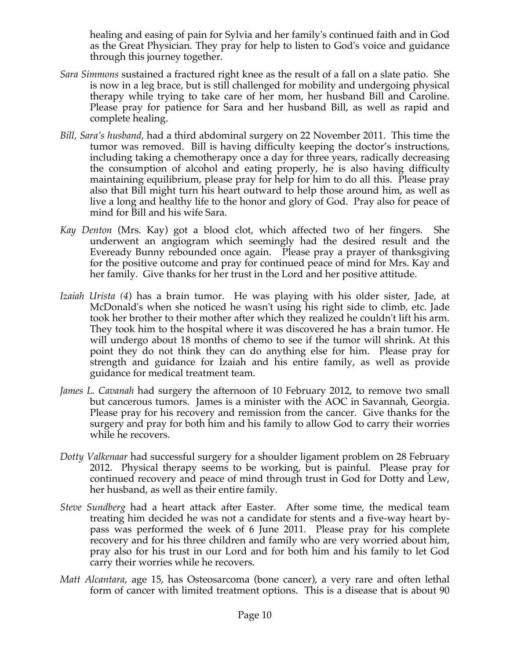healing and easing of pain for Sylvia and her family's continued faith and in God as the Great Physician. They pray for help to listen to God's voice and guidance through this journey together.

- *Sara Simmons* sustained a fractured right knee as the result of a fall on a slate patio. She is now in a leg brace, but is still challenged for mobility and undergoing physical therapy while trying to take care of her mom, her husband Bill and Caroline. Please pray for patience for Sara and her husband Bill, as well as rapid and complete healing.
- *Bill, Sara's husband,* had a third abdominal surgery on 22 November 2011. This time the tumor was removed. Bill is having difficulty keeping the doctor's instructions, including taking a chemotherapy once a day for three years, radically decreasing the consumption of alcohol and eating properly, he is also having difficulty maintaining equilibrium, please pray for help for him to do all this. Please pray also that Bill might turn his heart outward to help those around him, as well as live a long and healthy life to the honor and glory of God. Pray also for peace of mind for Bill and his wife Sara.
- *Kay Denton* (Mrs. Kay) got a blood clot, which affected two of her fingers. She underwent an angiogram which seemingly had the desired result and the Eveready Bunny rebounded once again. Please pray a prayer of thanksgiving for the positive outcome and pray for continued peace of mind for Mrs. Kay and her family. Give thanks for her trust in the Lord and her positive attitude.
- *Izaiah Urista (4*) has a brain tumor. He was playing with his older sister, Jade, at McDonald's when she noticed he wasn't using his right side to climb, etc. Jade took her brother to their mother after which they realized he couldn't lift his arm. They took him to the hospital where it was discovered he has a brain tumor. He will undergo about 18 months of chemo to see if the tumor will shrink. At this point they do not think they can do anything else for him. Please pray for strength and guidance for Izaiah and his entire family, as well as provide guidance for medical treatment team.
- *James L. Cavanah* had surgery the afternoon of 10 February 2012, to remove two small but cancerous tumors. James is a minister with the AOC in Savannah, Georgia. Please pray for his recovery and remission from the cancer. Give thanks for the surgery and pray for both him and his family to allow God to carry their worries while he recovers.
- *Dotty Valkenaar* had successful surgery for a shoulder ligament problem on 28 February 2012. Physical therapy seems to be working, but is painful. Please pray for continued recovery and peace of mind through trust in God for Dotty and Lew, her husband, as well as their entire family.
- *Steve Sundberg* had a heart attack after Easter. After some time, the medical team treating him decided he was not a candidate for stents and a five-way heart bypass was performed the week of 6 June 2011. Please pray for his complete recovery and for his three children and family who are very worried about him, pray also for his trust in our Lord and for both him and his family to let God carry their worries while he recovers.
- *Matt Alcantara*, age 15, has Osteosarcoma (bone cancer), a very rare and often lethal form of cancer with limited treatment options. This is a disease that is about 90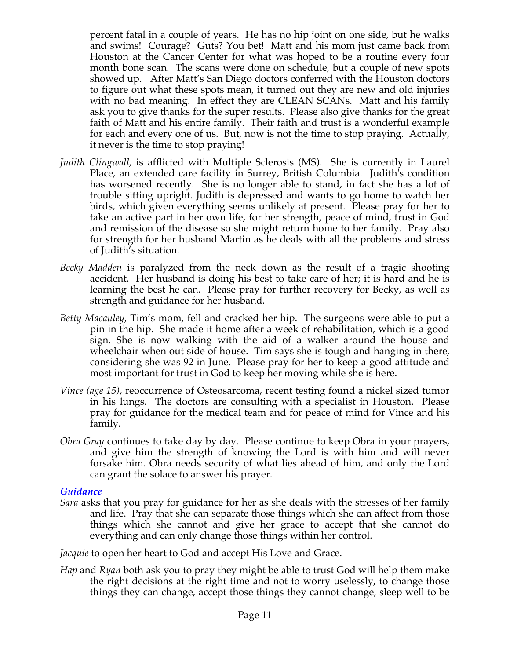percent fatal in a couple of years. He has no hip joint on one side, but he walks and swims! Courage? Guts? You bet! Matt and his mom just came back from Houston at the Cancer Center for what was hoped to be a routine every four month bone scan. The scans were done on schedule, but a couple of new spots showed up. After Matt's San Diego doctors conferred with the Houston doctors to figure out what these spots mean, it turned out they are new and old injuries with no bad meaning. In effect they are CLEAN SCANs. Matt and his family ask you to give thanks for the super results. Please also give thanks for the great faith of Matt and his entire family. Their faith and trust is a wonderful example for each and every one of us. But, now is not the time to stop praying. Actually, it never is the time to stop praying!

- *Judith Clingwall*, is afflicted with Multiple Sclerosis (MS). She is currently in Laurel Place, an extended care facility in Surrey, British Columbia. Judith's condition has worsened recently. She is no longer able to stand, in fact she has a lot of trouble sitting upright. Judith is depressed and wants to go home to watch her birds, which given everything seems unlikely at present. Please pray for her to take an active part in her own life, for her strength, peace of mind, trust in God and remission of the disease so she might return home to her family. Pray also for strength for her husband Martin as he deals with all the problems and stress of Judith's situation.
- *Becky Madden* is paralyzed from the neck down as the result of a tragic shooting accident. Her husband is doing his best to take care of her; it is hard and he is learning the best he can. Please pray for further recovery for Becky, as well as strength and guidance for her husband.
- *Betty Macauley,* Tim's mom, fell and cracked her hip. The surgeons were able to put a pin in the hip. She made it home after a week of rehabilitation, which is a good sign. She is now walking with the aid of a walker around the house and wheelchair when out side of house. Tim says she is tough and hanging in there, considering she was 92 in June. Please pray for her to keep a good attitude and most important for trust in God to keep her moving while she is here.
- *Vince (age 15),* reoccurrence of Osteosarcoma, recent testing found a nickel sized tumor in his lungs. The doctors are consulting with a specialist in Houston. Please pray for guidance for the medical team and for peace of mind for Vince and his family.
- *Obra Gray* continues to take day by day. Please continue to keep Obra in your prayers, and give him the strength of knowing the Lord is with him and will never forsake him. Obra needs security of what lies ahead of him, and only the Lord can grant the solace to answer his prayer.

### *Guidance*

- *Sara* asks that you pray for guidance for her as she deals with the stresses of her family and life. Pray that she can separate those things which she can affect from those things which she cannot and give her grace to accept that she cannot do everything and can only change those things within her control.
- *Jacquie* to open her heart to God and accept His Love and Grace.
- *Hap* and *Ryan* both ask you to pray they might be able to trust God will help them make the right decisions at the right time and not to worry uselessly, to change those things they can change, accept those things they cannot change, sleep well to be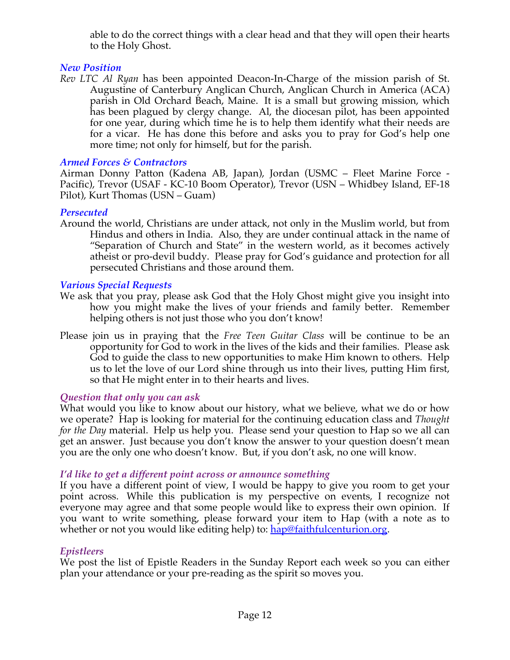able to do the correct things with a clear head and that they will open their hearts to the Holy Ghost.

# *New Position*

*Rev LTC Al Ryan* has been appointed Deacon-In-Charge of the mission parish of St. Augustine of Canterbury Anglican Church, Anglican Church in America (ACA) parish in Old Orchard Beach, Maine. It is a small but growing mission, which has been plagued by clergy change. Al, the diocesan pilot, has been appointed for one year, during which time he is to help them identify what their needs are for a vicar. He has done this before and asks you to pray for God's help one more time; not only for himself, but for the parish.

### *Armed Forces & Contractors*

Airman Donny Patton (Kadena AB, Japan), Jordan (USMC – Fleet Marine Force - Pacific), Trevor (USAF - KC-10 Boom Operator), Trevor (USN – Whidbey Island, EF-18 Pilot), Kurt Thomas (USN – Guam)

### *Persecuted*

Around the world, Christians are under attack, not only in the Muslim world, but from Hindus and others in India. Also, they are under continual attack in the name of "Separation of Church and State" in the western world, as it becomes actively atheist or pro-devil buddy. Please pray for God's guidance and protection for all persecuted Christians and those around them.

## *Various Special Requests*

- We ask that you pray, please ask God that the Holy Ghost might give you insight into how you might make the lives of your friends and family better. Remember helping others is not just those who you don't know!
- Please join us in praying that the *Free Teen Guitar Class* will be continue to be an opportunity for God to work in the lives of the kids and their families. Please ask God to guide the class to new opportunities to make Him known to others. Help us to let the love of our Lord shine through us into their lives, putting Him first, so that He might enter in to their hearts and lives.

### *Question that only you can ask*

What would you like to know about our history, what we believe, what we do or how we operate? Hap is looking for material for the continuing education class and *Thought for the Day* material. Help us help you. Please send your question to Hap so we all can get an answer. Just because you don't know the answer to your question doesn't mean you are the only one who doesn't know. But, if you don't ask, no one will know.

### *I'd like to get a different point across or announce something*

If you have a different point of view, I would be happy to give you room to get your point across. While this publication is my perspective on events, I recognize not everyone may agree and that some people would like to express their own opinion. If you want to write something, please forward your item to Hap (with a note as to whether or not you would like editing help) to: hap@faithfulcenturion.org.

### *Epistleers*

We post the list of Epistle Readers in the Sunday Report each week so you can either plan your attendance or your pre-reading as the spirit so moves you.